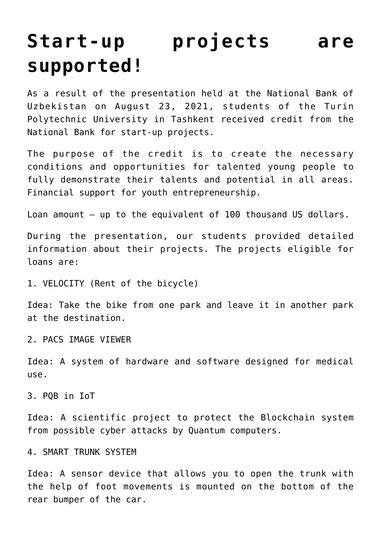## **[Start-up projects are](https://polito.uz/15840/) [supported!](https://polito.uz/15840/)**

As a result of the presentation held at the National Bank of Uzbekistan on August 23, 2021, students of the Turin Polytechnic University in Tashkent received credit from the National Bank for start-up projects.

The purpose of the credit is to create the necessary conditions and opportunities for talented young people to fully demonstrate their talents and potential in all areas. Financial support for youth entrepreneurship.

Loan amount – up to the equivalent of 100 thousand US dollars.

During the presentation, our students provided detailed information about their projects. The projects eligible for loans are:

1. VELOCITY (Rent of the bicycle)

Idea: Take the bike from one park and leave it in another park at the destination.

2. PACS IMAGE VIEWER

Idea: A system of hardware and software designed for medical use.

3. PQB in IoT

Idea: A scientific project to protect the Blockchain system from possible cyber attacks by Quantum computers.

4. SMART TRUNK SYSTEM

Idea: A sensor device that allows you to open the trunk with the help of foot movements is mounted on the bottom of the rear bumper of the car.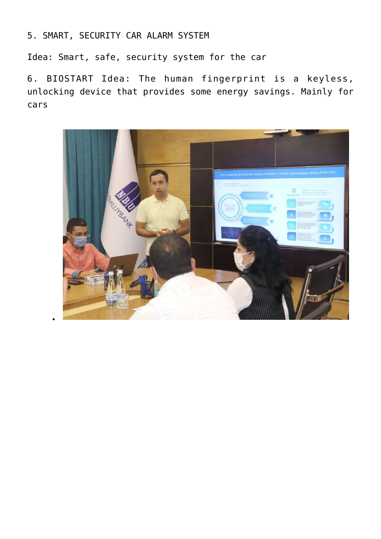## 5. SMART, SECURITY CAR ALARM SYSTEM

Idea: Smart, safe, security system for the car

6. BIOSTART Idea: The human fingerprint is a keyless, unlocking device that provides some energy savings. Mainly for cars

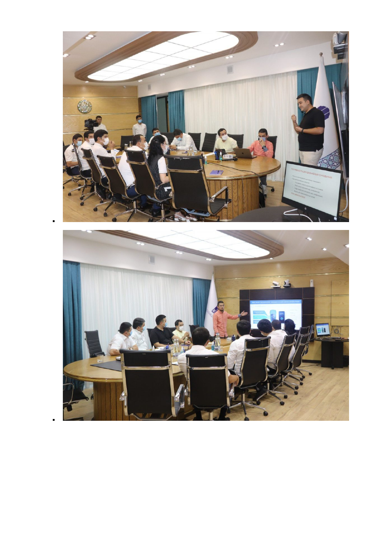



É